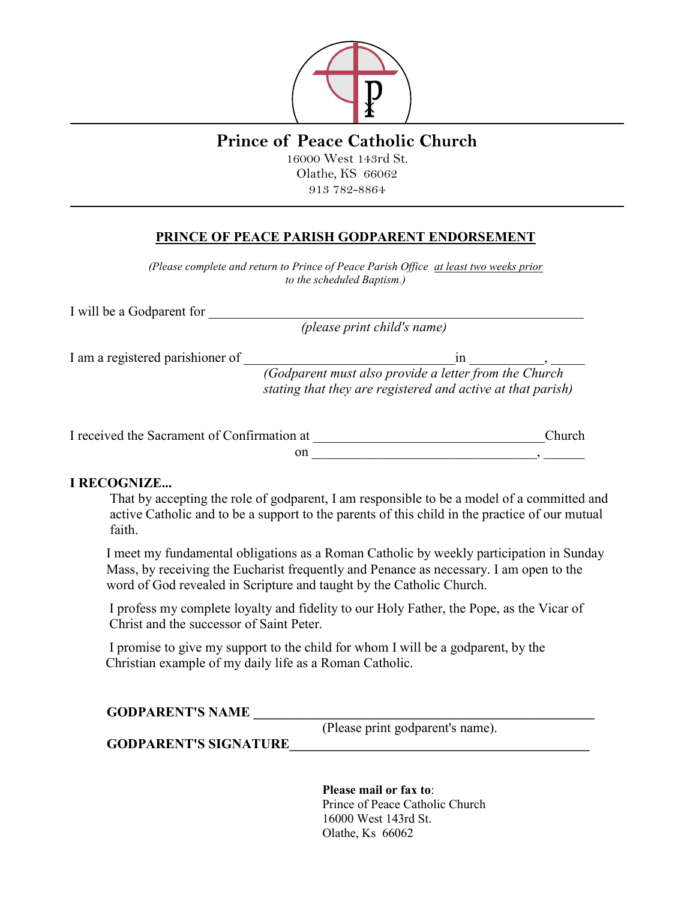

## **Prince of Peace Catholic Church**

16000 West 143rd St. Olathe, KS 66062 913 782-8864

## **PRINCE OF PEACE PARISH GODPARENT ENDORSEMENT**

*(Please complete and return to Prince of Peace Parish Office at least two weeks prior to the scheduled Baptism.)*

I will be a Godparent for

*(please print child's name)* 

I am a registered parishioner of containing the state of  $\Box$ 

*(Godparent must also provide a letter from the Church stating that they are registered and active at that parish)*

| I received the Sacrament of Confirmation at | <b>Church</b> |  |
|---------------------------------------------|---------------|--|
|                                             |               |  |

## **I RECOGNIZE...**

That by accepting the role of godparent, I am responsible to be a model of a committed and active Catholic and to be a support to the parents of this child in the practice of our mutual faith.

I meet my fundamental obligations as a Roman Catholic by weekly participation in Sunday Mass, by receiving the Eucharist frequently and Penance as necessary. I am open to the word of God revealed in Scripture and taught by the Catholic Church.

I profess my complete loyalty and fidelity to our Holy Father, the Pope, as the Vicar of Christ and the successor of Saint Peter.

I promise to give my support to the child for whom I will be a godparent, by the Christian example of my daily life as a Roman Catholic.

**GODPARENT'S NAME \_\_\_\_\_\_\_\_\_\_\_\_\_\_\_\_\_\_\_\_\_\_\_\_\_\_\_\_\_\_\_\_\_\_\_\_\_\_\_\_\_\_\_\_\_\_\_\_\_\_**

(Please print godparent's name).

**GODPARENT'S SIGNATURE\_\_\_\_\_\_\_\_\_\_\_\_\_\_\_\_\_\_\_\_\_\_\_\_\_\_\_\_\_\_\_\_\_\_\_\_\_\_\_\_\_\_\_\_**

**Please mail or fax to**: Prince of Peace Catholic Church 16000 West 143rd St. Olathe, Ks 66062